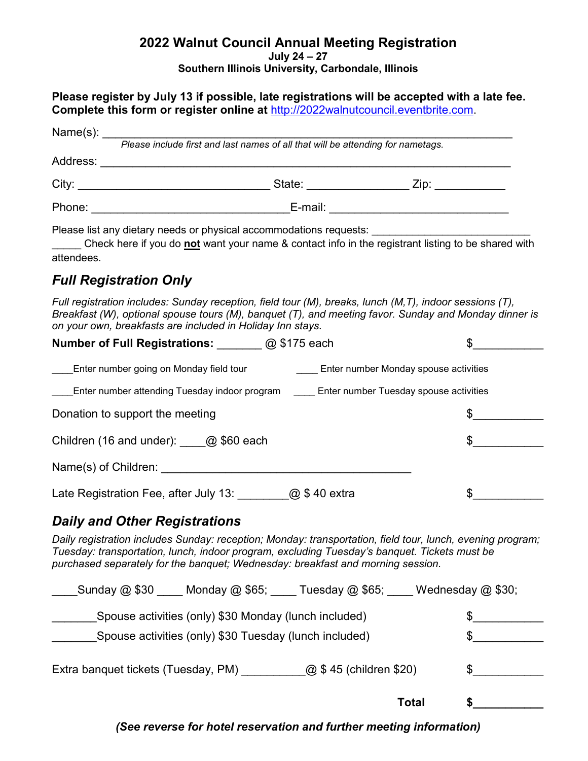#### **2022 Walnut Council Annual Meeting Registration July 24 – 27 Southern Illinois University, Carbondale, Illinois**

**Please register by July 13 if possible, late registrations will be accepted with a late fee. Complete this form or register online at** [http://2022walnutcouncil.eventbrite.com.](http://2022walnutcouncil.eventbrite.com/)

|          | Please include first and last names of all that will be attending for nametags. |  |
|----------|---------------------------------------------------------------------------------|--|
| Address: |                                                                                 |  |
| City:    | State: <u>_______</u>                                                           |  |
|          | E-mail:                                                                         |  |
|          | Please list any dietary needs or physical accommodations requests:              |  |

\_\_\_\_\_ Check here if you do **not** want your name & contact info in the registrant listing to be shared with attendees.

# *Full Registration Only*

*Full registration includes: Sunday reception, field tour (M), breaks, lunch (M,T), indoor sessions (T), Breakfast (W), optional spouse tours (M), banquet (T), and meeting favor. Sunday and Monday dinner is on your own, breakfasts are included in Holiday Inn stays.*

| <b>Number of Full Registrations:</b> @ \$175 each                                                                                                                                                                                                                                             |  |  |  |  |
|-----------------------------------------------------------------------------------------------------------------------------------------------------------------------------------------------------------------------------------------------------------------------------------------------|--|--|--|--|
| Enter number going on Monday field tour _______________Enter number Monday spouse activities                                                                                                                                                                                                  |  |  |  |  |
| ____Enter number attending Tuesday indoor program _____ Enter number Tuesday spouse activities                                                                                                                                                                                                |  |  |  |  |
| Donation to support the meeting                                                                                                                                                                                                                                                               |  |  |  |  |
| Children (16 and under): $\qquad \qquad \textcircled{a}$ \$60 each                                                                                                                                                                                                                            |  |  |  |  |
| Name(s) of Children:                                                                                                                                                                                                                                                                          |  |  |  |  |
| Late Registration Fee, after July 13: $\qquad \qquad \textcircled{a}$ \$40 extra                                                                                                                                                                                                              |  |  |  |  |
| <b>Daily and Other Registrations</b>                                                                                                                                                                                                                                                          |  |  |  |  |
| Daily registration includes Sunday: reception; Monday: transportation, field tour, lunch, evening program;<br>Tuesday: transportation, lunch, indoor program, excluding Tuesday's banquet. Tickets must be<br>purchased separately for the banquet; Wednesday: breakfast and morning session. |  |  |  |  |
| Sunday $@$ \$30 Monday $@$ \$65; Tuesday $@$ \$65; Wednesday $@$ \$30;                                                                                                                                                                                                                        |  |  |  |  |

| Spouse activities (only) \$30 Monday (lunch included)         |       |  |
|---------------------------------------------------------------|-------|--|
| Spouse activities (only) \$30 Tuesday (lunch included)        |       |  |
| @ \$45 (children \$20)<br>Extra banquet tickets (Tuesday, PM) |       |  |
|                                                               | Total |  |

*(See reverse for hotel reservation and further meeting information)*